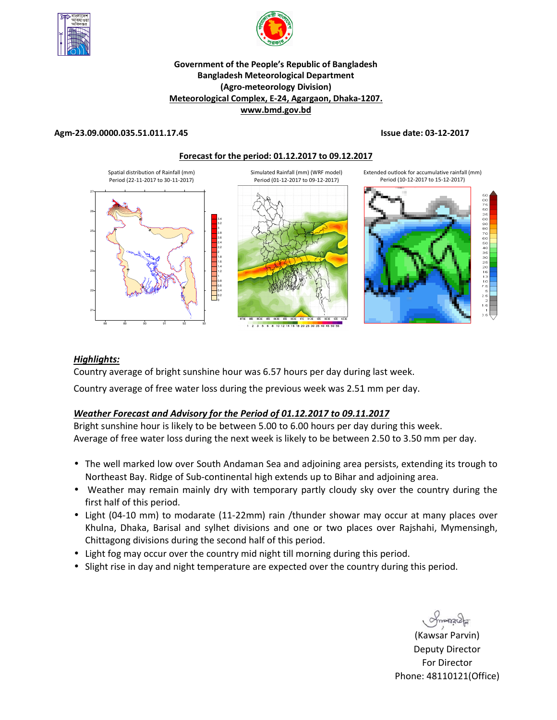



# **Government of the People's Republic of Bangladesh Bangladesh Meteorological Department (Agro-meteorology Division) Meteorological Complex, E-24, Agargaon, Dhaka-1207. www.bmd.gov.bd**

## **Agm-23.09.0000.035.51.011.17.45 Issue date: 03-12-2017**

### **Forecast for the period: 01.12.2017 to 09.12.2017**



## *Highlights:*

Country average of bright sunshine hour was 6.57 hours per day during last week.

Country average of free water loss during the previous week was 2.51 mm per day.

# *Weather Forecast and Advisory for the Period of 01.12.2017 to 09.11.2017*

Bright sunshine hour is likely to be between 5.00 to 6.00 hours per day during this week. Average of free water loss during the next week is likely to be between 2.50 to 3.50 mm per day.

- The well marked low over South Andaman Sea and adjoining area persists, extending its trough to Northeast Bay. Ridge of Sub-continental high extends up to Bihar and adjoining area.
- Weather may remain mainly dry with temporary partly cloudy sky over the country during the first half of this period.
- Light (04-10 mm) to modarate (11-22mm) rain /thunder showar may occur at many places over Khulna, Dhaka, Barisal and sylhet divisions and one or two places over Rajshahi, Mymensingh, Chittagong divisions during the second half of this period.
- Light fog may occur over the country mid night till morning during this period.
- Slight rise in day and night temperature are expected over the country during this period.

**N.** (Kawsar Parvin) Deputy Director For Director Phone: 48110121(Office)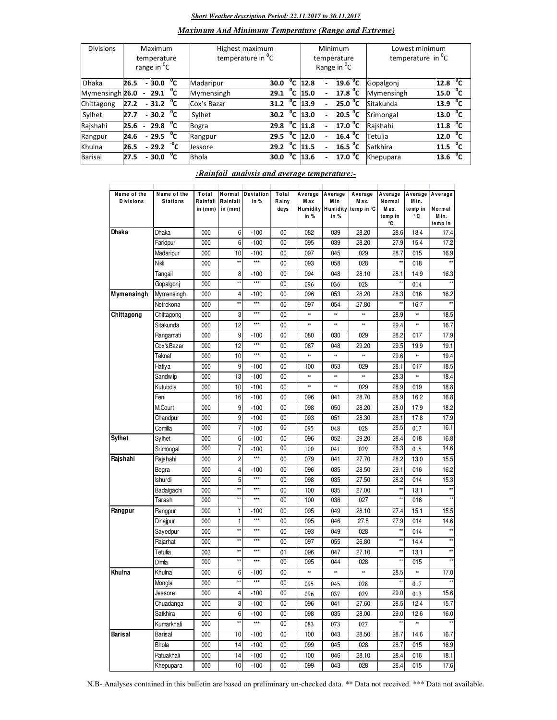#### *Short Weather description Period: 22.11.2017 to 30.11.2017*

# *Maximum And Minimum Temperature (Range and Extreme)*

| <b>Divisions</b> | Maximum<br>temperature<br>range in <sup>o</sup> C |                |                        |    | Highest maximum<br>temperature in <sup>o</sup> C |      | Minimum<br>temperature<br>Range in <sup>O</sup> C | Lowest minimum<br>temperature in <sup>o</sup> C |                                  |            |                      |
|------------------|---------------------------------------------------|----------------|------------------------|----|--------------------------------------------------|------|---------------------------------------------------|-------------------------------------------------|----------------------------------|------------|----------------------|
| <b>Dhaka</b>     | 26.5                                              |                | $-30.0$                | °c | Madaripur                                        | 30.0 |                                                   | $\overline{C}$ 12.8                             | 19.6 $^{\circ}$ C                | Gopalgonj  | $^{\circ}$ c<br>12.8 |
| Mymensingh 26.0  |                                                   | $\sim$         | $29.1\text{ °C}$       |    | Mymensingh                                       | 29.1 | °c                                                | 15.0                                            | 17.8 $^{\circ}$ C                | Mymensingh | $^{\circ}$ c<br>15.0 |
| Chittagong       | 27.2                                              |                | $-31.2$ <sup>o</sup> C |    | Cox's Bazar                                      | 31.2 | °c                                                | 13.9                                            | $25.0\text{ °C}$                 | Sitakunda  | 13.9 $^{\circ}$ C    |
| Sylhet           | 27.7                                              |                | $-30.2$ <sup>0</sup> C |    | Sylhet                                           | 30.2 | °c                                                | 13.0                                            | 20.5 $^{\circ}$ C                | Srimongal  | 13.0 <sup>o</sup> C  |
| Rajshahi         | 25.6                                              | $\blacksquare$ | 29.8 $^{\circ}$ C      |    | Bogra                                            | 29.8 |                                                   | 11.8                                            | $\overline{17.0}$ <sup>o</sup> C | Rajshahi   | 11.8 $^{\circ}$ C    |
| Rangpur          | 24.6                                              |                | $-29.5$                | °⊂ | Rangpur                                          | 29.5 | $^{\circ}$ c                                      | 12.0                                            | $16.4 \text{ °C}$                | Tetulia    | 12.0 $^{\circ}$ C    |
| Khulna           | 26.5                                              |                | $-29.2\degree$ C       |    | Jessore                                          | 29.2 | °c                                                | 11.5                                            | 16.5 $^{\circ}$ C                | Satkhira   | $11.5 \text{ °C}$    |
| Barisal          | 27.5                                              |                | $-30.0$                | °c | <b>Bhola</b>                                     | 30.0 | $\overline{c}$                                    | 13.6                                            | 17.0 <sup>0</sup> C              | Khepupara  | $^{\circ}$ c<br>13.6 |

# *:Rainfall analysis and average temperature:-*

| Name of the<br><b>Divisions</b> | Name of the<br><b>Stations</b> | Total<br>Rainfall<br>in $(mm)$ | Rainfall<br>in $(mm)$ | Normal Deviation<br>in % | Total<br>Rainy<br>days | Average<br>M ax<br><b>Humidity</b><br>in % | Average<br>M in<br>in % | Average<br>Max.<br>Humidity temp in °C | Average<br>Normal<br>M ax.<br>temp in<br>°C | Average<br>Min.<br>temp in<br>۰c | Average<br>Normal<br>M in.<br>temp in |
|---------------------------------|--------------------------------|--------------------------------|-----------------------|--------------------------|------------------------|--------------------------------------------|-------------------------|----------------------------------------|---------------------------------------------|----------------------------------|---------------------------------------|
| Dhaka                           | <b>Dhaka</b>                   | 000                            | 6                     | $-100$                   | 00                     | 082                                        | 039                     | 28.20                                  | 28.6                                        | 18.4                             | 17.4                                  |
|                                 | Faridpur                       | 000                            | 6                     | $-100$                   | 00                     | 095                                        | 039                     | 28.20                                  | 27.9                                        | 15.4                             | 17.2                                  |
|                                 | Madaripur                      | 000                            | 10                    | $-100$                   | 00                     | 097                                        | 045                     | 029                                    | 28.7                                        | 015                              | 16.9                                  |
|                                 | Nikli                          | 000                            | $\star\star$          | $***$                    | 00                     | 093                                        | 058                     | 028                                    | $\star\star$                                | 018                              | $\star\star$                          |
|                                 | Tangail                        | 000                            | 8                     | $-100$                   | 00                     | 094                                        | 048                     | 28.10                                  | 28.1                                        | 14.9                             | 16.3                                  |
|                                 | Gopalgonj                      | 000                            | $\star\star$          | $***$                    | 00                     | 096                                        | 036                     | 028                                    | **                                          | 014                              |                                       |
| Mymensingh                      | Mymensingh                     | 000                            | 4                     | $-100$                   | 00                     | 096                                        | 053                     | 28.20                                  | 28.3                                        | 016                              | 16.2                                  |
|                                 | Netrokona                      | 000                            | $\star\star$          | $***$                    | 00                     | 097                                        | 054                     | 27.80                                  | **                                          | 16.7                             | $\star\star$                          |
| Chittagong                      | Chittagong                     | 000                            | 3                     | $***$                    | 00                     | ×                                          | **                      | 88                                     | 28.9                                        | **                               | 18.5                                  |
|                                 | Sitakunda                      | 000                            | 12                    | ***                      | 00                     | ×                                          | ×                       | ×                                      | 29.4                                        | $\ast\ast$                       | 16.7                                  |
|                                 | Rangamati                      | 000                            | 9                     | $-100$                   | 00                     | 080                                        | 030                     | 029                                    | 28.2                                        | 017                              | 17.9                                  |
|                                 | Cox'sBazar                     | 000                            | 12                    | $***$                    | 00                     | 087                                        | 048                     | 29.20                                  | 29.5                                        | 19.9                             | 19.1                                  |
|                                 | Teknaf                         | 000                            | 10                    | ***                      | 00                     | *                                          | **                      | *                                      | 29.6                                        | $^{**}$                          | 19.4                                  |
|                                 | Hatiya                         | 000                            | 9                     | $-100$                   | 00                     | 100                                        | 053                     | 029                                    | 28.1                                        | 017                              | 18.5                                  |
|                                 | Sandw ip                       | 000                            | 13                    | $-100$                   | 00                     | ×                                          | **                      | ×                                      | 28.3                                        | **                               | 18.4                                  |
|                                 | Kutubdia                       | 000                            | 10                    | $-100$                   | 00                     | ×                                          | $^{\ast\ast}$           | 029                                    | 28.9                                        | 019                              | 18.8                                  |
|                                 | Feni                           | 000                            | 16                    | $-100$                   | 00                     | 096                                        | 041                     | 28.70                                  | 28.9                                        | 16.2                             | 16.8                                  |
|                                 | M.Court                        | 000                            | 9                     | $-100$                   | 00                     | 098                                        | 050                     | 28.20                                  | 28.0                                        | 17.9                             | 18.2                                  |
|                                 | Chandpur                       | 000                            | 9                     | $-100$                   | 00                     | 093                                        | 051                     | 28.30                                  | 28.1                                        | 17.8                             | 17.9                                  |
|                                 | Comilla                        | 000                            | 7                     | $-100$                   | 00                     | 095                                        | 048                     | 028                                    | 28.5                                        | 017                              | 16.1                                  |
| Sylhet                          | Sylhet                         | 000                            | 6                     | $-100$                   | 00                     | 096                                        | 052                     | 29.20                                  | 28.4                                        | 018                              | 16.8                                  |
|                                 | Srimongal                      | 000                            | 7                     | $-100$                   | 00                     | 100                                        | 041                     | 029                                    | 28.3                                        | 015                              | 14.6                                  |
| Rajshahi                        | Rajshahi                       | 000                            | $\overline{c}$        | $***$                    | 00                     | 079                                        | 041                     | 27.70                                  | 28.2                                        | 13.0                             | 15.5                                  |
|                                 | Bogra                          | 000                            | 4                     | $-100$                   | 00                     | 096                                        | 035                     | 28.50                                  | 29.1                                        | 016                              | 16.2                                  |
|                                 | Ishurdi                        | 000                            | 5                     | $***$                    | 00                     | 098                                        | 035                     | 27.50                                  | 28.2                                        | 014                              | 15.3                                  |
|                                 | Badalgachi                     | 000                            | $\star\star$          | $***$                    | 00                     | 100                                        | 035                     | 27.00                                  | $\star\star$                                | 13.1                             | $\star\star$                          |
|                                 | Tarash                         | 000                            | $\star\star$          | $***$                    | 00                     | 100                                        | 036                     | 027                                    | $\star\star$                                | 016                              |                                       |
| Rangpur                         | Rangpur                        | 000                            | 1                     | $-100$                   | 00                     | 095                                        | 049                     | 28.10                                  | 27.4                                        | 15.1                             | 15.5                                  |
|                                 | Dinajpur                       | 000                            | 1                     | $***$                    | 00                     | 095                                        | 046                     | 27.5                                   | 27.9                                        | 014                              | 14.6                                  |
|                                 | Sayedpur                       | 000                            | $\star\star$          | $***$                    | 00                     | 093                                        | 049                     | 028                                    | **                                          | 014                              | $**$                                  |
|                                 | Rajarhat                       | 000                            | $\star\star$          | ***                      | 00                     | 097                                        | 055                     | 26.80                                  | $\star\star$                                | 14.4                             | $\star\star$                          |
|                                 | Tetulia                        | 003                            | $\star\star$          | $***$                    | 01                     | 096                                        | 047                     | 27.10                                  | $\star\star$                                | 13.1                             | $\star\star$                          |
|                                 | Dimla                          | 000                            | $\star\star$          | $***$                    | 00                     | 095                                        | 044                     | 028                                    | $\star\star$                                | 015                              |                                       |
| Khulna                          | Khulna                         | 000                            | 6                     | $-100$                   | 00                     | 88                                         | **                      | ×                                      | 28.5                                        | $^{**}$                          | 17.0                                  |
|                                 | Mongla                         | 000                            | $\star\star$          | $***$                    | 00                     | 095                                        | 045                     | 028                                    | $\star\star$                                | 017                              | $\star\star$                          |
|                                 | Jessore                        | 000                            | 4                     | $-100$                   | $00\,$                 | 096                                        | 037                     | 029                                    | 29.0                                        | 013                              | 15.6                                  |
|                                 | Chuadanga                      | 000                            | 3                     | $-100$                   | 00                     | 096                                        | 041                     | 27.60                                  | 28.5                                        | 12.4                             | 15.7                                  |
|                                 | Satkhira                       | 000                            | 6                     | $-100$                   | 00                     | 098                                        | 035                     | 28.00                                  | 29.0                                        | 12.6                             | 16.0                                  |
|                                 | Kumarkhali                     | 000                            | $\star\star$          | $***$                    | $00\,$                 | 083                                        | 073                     | 027                                    | $\star\star$                                | $\ast\ast$                       | $\star\star$                          |
| Barisal                         | Barisal                        | 000                            | 10                    | $-100$                   | 00                     | 100                                        | 043                     | 28.50                                  | 28.7                                        | 14.6                             | 16.7                                  |
|                                 | Bhola                          | 000                            | 14                    | $-100$                   | 00                     | 099                                        | 045                     | 028                                    | 28.7                                        | 015                              | 16.9                                  |
|                                 | Patuakhali                     | 000                            | 14                    | $-100$                   | 00                     | 100                                        | 046                     | 28.10                                  | 28.4                                        | 016                              | 18.1                                  |
|                                 | Khepupara                      | 000                            | 10                    | $-100$                   | 00                     | 099                                        | 043                     | 028                                    | 28.4                                        | 015                              | 17.6                                  |
|                                 |                                |                                |                       |                          |                        |                                            |                         |                                        |                                             |                                  |                                       |

N.B-.Analyses contained in this bulletin are based on preliminary un-checked data. \*\* Data not received. \*\*\* Data not available.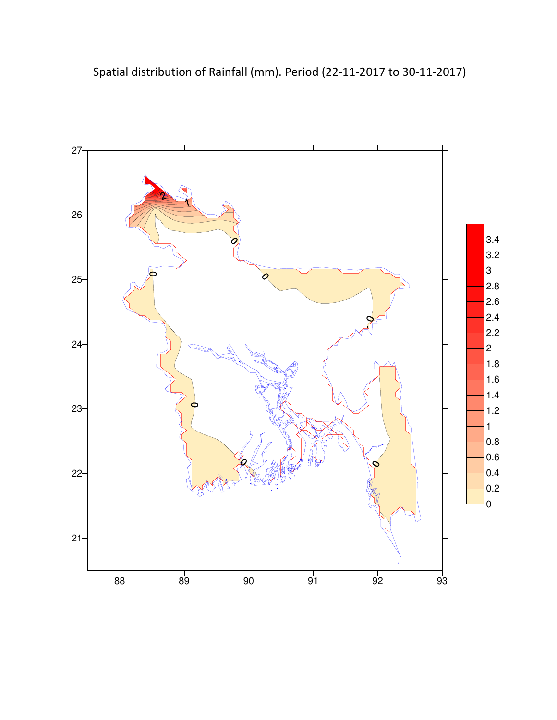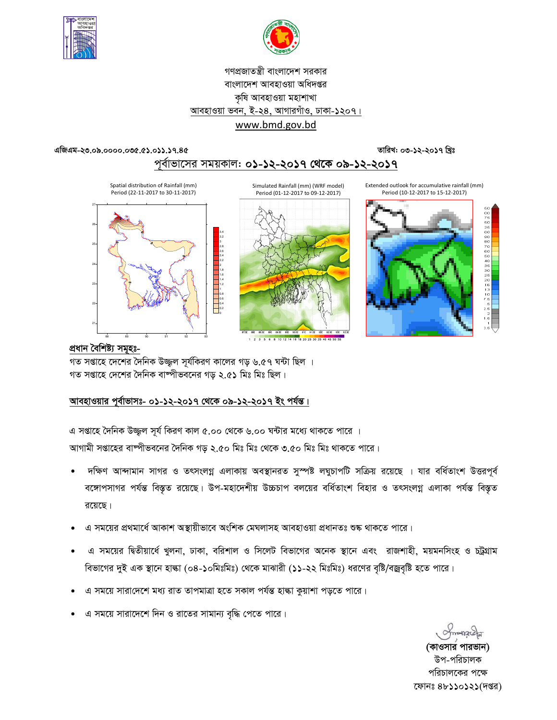



# গণপ্রজাতন্ত্রী বাংলাদেশ সরকার বাংলাদেশ আবহাওয়া অধিদপ্তর কৃষি আবহাওয়া মহাশাখা আবহাওয়া ভবন, ই-২৪, আগারগাঁও, ঢাকা-১২০৭। www.bmd.gov.bd

# তারিখ: ০৩-১২-২০১৭ খ্রিঃ

এজিএম-২৩.০৯.০০০০.০৩৫.৫১.০১১.১৭.৪৫

পূর্বাভাসের সময়কাল: ০১-১২-২০১৭ থেকে ০৯-১২-২০১৭

Extended outlook for accumulative rainfall (mm) Period (10-12-2017 to 15-12-2017)



Simulated Rainfall (mm) (WRF model) Period (01-12-2017 to 09-12-2017)





<u>প্ৰধান বৈশিষ্ট্য সমূহঃ-</u>

গত সপ্তাহে দেশের দৈনিক উজ্জ্বল সূর্যকিরণ কালের গড় ৬.৫৭ ঘন্টা ছিল । গত সপ্তাহে দেশের দৈনিক বাষ্পীভবনের গড় ২.৫১ মিঃ মিঃ ছিল।

# আবহাওয়ার পূর্বাভাসঃ- ০১-১২-২০১৭ থেকে ০৯-১২-২০১৭ ইং পর্যন্ত।

এ সপ্তাহে দৈনিক উজ্জল সূর্য কিরণ কাল ৫.০০ থেকে ৬.০০ ঘন্টার মধ্যে থাকতে পারে । আগামী সপ্তাহের বাষ্পীভবনের দৈনিক গড় ২.৫০ মিঃ মিঃ থেকে ৩.৫০ মিঃ মিঃ থাকতে পারে।

- দক্ষিণ আন্দামান সাগর ও তৎসংলগ্ন এলাকায় অবস্থানরত সুস্পষ্ট লঘুচাপটি সক্রিয় রয়েছে । যার বর্ধিতাংশ উত্তরপূর্ব বঙ্গোপসাগর পর্যন্ত বিস্তৃত রয়েছে। উপ-মহাদেশীয় উচ্চচাপ বলয়ের বর্ধিতাংশ বিহার ও তৎসংলগ্ন এলাকা পর্যন্ত বিস্তৃত রয়েছে।
- এ সময়ের প্রথমার্ধে আকাশ অস্থায়ীভাবে অংশিক মেঘলাসহ আবহাওয়া প্রধানতঃ শুষ্ক থাকতে পারে।
- এ সময়ের দ্বিতীয়ার্ধে খুলনা, ঢাকা, বরিশাল ও সিলেট বিভাগের অনেক স্থানে এবং রাজশাহী, ময়মনসিংহ ও চট্রগ্রাম বিভাগের দুই এক স্থানে হাঙ্কা (০৪-১০মিঃমিঃ) থেকে মাঝারী (১১-২২ মিঃমিঃ) ধরণের বৃষ্টি/বজ্রবৃষ্টি হতে পারে।
- এ সময়ে সারাদেশে মধ্য রাত তাপমাত্রা হতে সকাল পর্যন্ত হাল্কা কুয়াশা পড়তে পারে।
- এ সময়ে সারাদেশে দিন ও রাতের সামান্য বৃদ্ধি পেতে পারে।

(কাওসার পারভান) উপ-পরিচালক পরিচালকের পক্ষে ফোনঃ ৪৮১১০১২১(দপ্তর)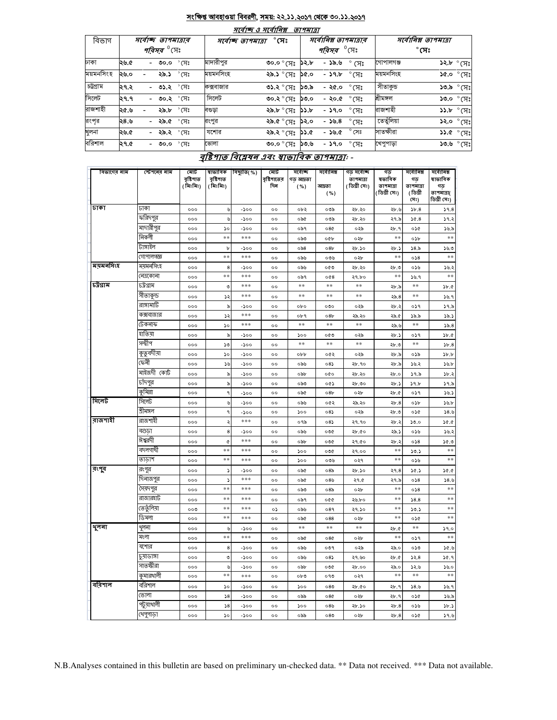#### সংক্ষিপ্ত আবহাওয়া বিবরণী, সময়: ২২.১১.২০১৭ থেকে ৩০.১১.২০১৭  $=$   $\alpha$  <del>and  $\beta$  an</del>  $=$

|           |                                  |           | $7(9)$ a $9(9)$                    | ופומרוש |                                      |                              |                      |                             |  |
|-----------|----------------------------------|-----------|------------------------------------|---------|--------------------------------------|------------------------------|----------------------|-----------------------------|--|
| বিভাগ     | সৰ্বোচ্ছ তাপমাত্ৰাৰ              |           | $^\circ$ সেঃ<br>সৰ্বোচ্ছ তাপমাত্ৰা |         |                                      | সর্বোনিম্ন তাপমাত্রার        | সর্বোনিম্ন তাপমাত্রা |                             |  |
|           | <i>পরিসর <sup>৩</sup></i> সেঃ    |           |                                    |         | <i><b>পরিসর</b> <sup>0</sup>\ে</i> ঃ |                              |                      | $^\circ$ সেঃ                |  |
| ঢাকা      | $^{\circ}$ (সঃ<br>২৬.৫<br>- ৩০.০ | মাদারীপুর | ిం.ం° (౫ <b>:</b>                  | ১২.৮    | - ১৯.৬                               | $\degree$ (X $\degree$       | গোপালগঞ্জ            | $52.5^\circ$ পুর            |  |
| ময়মনসিংহ | <b>২৯.১</b> ° সেঃ<br>২৬.০        | ময়মনসিংহ | ২৯.১ °মেঃ ১৫.০                     |         | - ১৭.৮                               | ੰ $\overline{\mathcal{F}}$ ੰ | ময়মনসিংহ            | $$8^{\circ}$$ ০.১১          |  |
| চট্টগ্ৰাম | - ৩১.২ ° সেঃ<br>।২৭.২            | কক্সবাজার | ৩১.২ ° সেঃ                         | ১৩.৯    | - ২৫.০                               | $^{\circ}$ সেঃ               | সীতাকুভ              | ঃµ)° ఉ. <b>ి</b>            |  |
| সিলেট     | - ৩০.২ ° সেঃ<br>২৭.৭             | সিলেট     | ৩০.২ ° মেঃ  ১৩.০                   |         | - ২০.৫                               | $^\circ$ সেঃ                 | শ্ৰীমঙ্গল            | $\mathcal{S}^{\infty}$ ০.০১ |  |
| রাজশাহী   | ২৯.৮ ° সেঃ<br>২৫.৬               | বণ্ডডা    | $3.5^{\circ}$ (H: $3.5^{\circ}$    |         | - ১৭.০                               | $^\circ$ সেঃ                 | রাজশাহী              | $35.5^\circ$ (H:            |  |
| রংপর      | - <b>২৯.৫</b> ° সেঃ<br>২৪.৬      | রংপুর     | <b>২৯.৫</b> ° সেঃ <b>১২.০</b>      |         | $-55.8$                              | $^{\circ}$ সেঃ               | তেতুঁলিয়া           | ১২.০ ° সেঃ                  |  |
| খুলনা     | - <b>২৯.২</b> ° সেঃ<br>২৬.৫      | যশোর      | ২৯.২ ° মেঃ <b>১১</b> .৫            |         | - ১৬.৫                               | $^{\circ}$ সেঃ               | সাতক্ষীরা            | $35.6^\circ$ የአገ            |  |
| বরিশাল    | - <b>৩০.০</b> ° (সঃ<br>২৭.৫      | ভোলা      | ৩০.০ $^{\circ}$ (সঃ ১৩.৬           |         | - ১৭.০                               | $^{\circ}$ (সঃ               | খেপুপাড়া            | $SO^{\circ}$ ৬.৩১           |  |

# বৃষ্টিপাত বিশ্লেষন এবং ম্বাভাবিক তাপমাত্রা: -

| বিভাগের নাম | স্টেশনের নাম        | মোট<br>রষ্টিশাত<br>(মিঃমিঃ) | ষাভাবিক<br>রষ্টিপাত<br>( মিঃমিঃ) | বিছ্যুতি( %) | মোট<br>বৃষ্টিশাতের<br>দিন | সৰ্বোচ্ছ<br>গড আদ্রতা<br>( %) | সৰ্বোনিম্ন<br>আদ্ৰতা<br>( %) | গড় সৰ্বোচ্ছ<br>তাপমাত্রা<br>( ডিগ্ৰী সেঃ) | গড<br>ষভাবিক<br>তাপমাত্রা<br>( ডিগ্ৰী সেঃ) | সৰ্বোনিম্ন<br>গড<br>তাপমাত্রা<br>(ডিগ্ৰী | সৰ্বোনিম্ন<br>ষাভাবিক<br>গড<br>তাপমাত্রা( |
|-------------|---------------------|-----------------------------|----------------------------------|--------------|---------------------------|-------------------------------|------------------------------|--------------------------------------------|--------------------------------------------|------------------------------------------|-------------------------------------------|
|             |                     |                             |                                  |              |                           |                               |                              |                                            |                                            | (সঃ)                                     | ডিগ্ৰী সেঃ)                               |
| ঢাকা        | ঢাকা                | 000                         | ৬                                | -১০০         | $^{\circ}$                | ০৮২                           | ০৩৯                          | ২৮.২০                                      | ২৮.৬                                       | 5b.8                                     | 59.8                                      |
|             | ফরিদপুর             | 000                         | ৬                                | -200         | $^{\circ}$                | ০৯৫                           | ০৩৯                          | ২৮.২০                                      | ২৭.৯                                       | 36.8                                     | 39.2                                      |
|             | মাদারীপুর           | 000                         | ১০                               | -১০০         | $^{\circ}$                | ০৯৭                           | 080                          | ০২৯                                        | ২৮.৭                                       | ০১৫                                      | ১৬.৯                                      |
|             | নিকলী               | 000                         | $**$                             | ***          | $^{\circ}$                | ಂ৯৩                           | oQb                          | ০২৮                                        | **                                         | ০১৮                                      | $**$                                      |
|             | টাঙ্গাইল            | 000                         | b                                | $-200$       | $^{oo}$                   | 0.88                          | 08b                          | ২৮.১০                                      | ২৮.১                                       | 58.5                                     | 56.0                                      |
|             | গোপালগজ্ঞ           | ०००                         | **                               | ***          | $\circ$                   | ০৯৬                           | ০৩৬                          | ০২৮                                        | **                                         | 058                                      | $**$                                      |
| ময়মনসিংহ   | ময়মনসিংহ           | 000                         | 8                                | -200         | $^{\circ}$                | ০৯৬                           | ০৫৩                          | ২৮.২০                                      | ২৮.৩                                       | ০১৬                                      | ১৬.২                                      |
|             | নেত্ৰকোনা           | 000                         | $**$                             | ***          | $^{oo}$                   | ০৯৭                           | 008                          | ২৭.৮০                                      | $**$                                       | ১৬.৭                                     | $**$                                      |
| চট্টগ্ৰাম   | চট্টগ্রাম           | ०००                         | ৩                                | ***          | $\circ$                   | **                            | **                           | **                                         | ২৮.৯                                       | **                                       | Sb. C                                     |
|             | সীতাকুন্ড           | 000                         | ১২                               | ***          | oo                        | $**$                          | $\ast\ast$                   | **                                         | ২৯.৪                                       | $**$                                     | 38.9                                      |
|             | রাঙ্গামার্টি        | 000                         | ৯                                | -200         | $^{oo}$                   | opo                           | ೲ                            | ০২৯                                        | ২৮.২                                       | ०১৭                                      | 39.5                                      |
|             | কক্সবাজার           | ०००                         | ډډ                               | ***          | $^{\circ}$                | ০৮৭                           | 08 <sub>b</sub>              | ২৯.২০                                      | ২৯.৫                                       | ১৯.৯                                     | ১৯.১                                      |
|             | টেকনাফ              | 000                         | ১০                               | ***          | oo                        | $**$                          | $**$                         | $**$                                       | ২৯.৬                                       | $**$                                     | 55.8                                      |
|             | হাতিয়া             | 000                         | ৯                                | -200         | $^{oo}$                   | 500                           | ০৫৩                          | ০২৯                                        | ২৮.১                                       | ०১৭                                      | 3b.6                                      |
|             | সন্দ্বীপ            | 000                         | ১৩                               | -200         | oo                        | $* *$                         | **                           | $* *$                                      | ২৮.৩                                       | $* *$                                    | 5b.8                                      |
|             | কুতুবদীয়া          | 000                         | ১০                               | -200         | $^{\circ}$                | opp                           | ०৫২                          | ০২৯                                        | ২৮.৯                                       | ০১৯                                      | b.b                                       |
|             | ফেনী                | 000                         | ১৬                               | $-500$       | $^{oo}$                   | ০৯৬                           | 08                           | ২৮.৭০                                      | ২৮.৯                                       | ১৬.২                                     | 59.5                                      |
|             | মাইজদী কোর্ট        | 000                         | ৯                                | -200         | oo                        | ০৯৮                           | ०७०                          | ২৮.২০                                      | ২৮.০                                       | ১৭.৯                                     | 3b.3                                      |
|             | চাঁদপুর<br>কুমিল্লা | 000                         | ৯                                | -200         | $^{\circ}$                | ಂ৯৩                           | ০৫১                          | ২৮.৩০                                      | ২৮.১                                       | 39.5                                     | ১৭.৯                                      |
| সিলেট       | সিলেট               | 000                         | ٩                                | $-500$       | oo                        | ০৯৫                           | 08 <sub>b</sub>              | ০২৮                                        | ২৮.৫                                       | ०১৭                                      | 38.5                                      |
|             | শ্ৰীমঙ্গল           | 000<br>०००                  | ৬<br>٩                           | -200         | oo<br>$^{\circ}$          | ০৯৬<br>১০০                    | ०৫২<br>08                    | ২৯.২০<br>০২৯                               | 2b.8<br>২৮.৩                               | ০১৮<br>०১৫                               | 5.5<br>38.9                               |
| রাজশাহী     | রাজশাহী             | 000                         | ২                                | -200<br>***  | $^{oo}$                   | ०१৯                           | 08                           | २१.१०                                      | ২৮.২                                       | 50.0                                     | 30.96                                     |
|             | বগুডা               |                             | 8                                |              | $\circ$                   |                               |                              |                                            |                                            |                                          |                                           |
|             | ঈশ্বরদী             | 000<br>000                  | ¢                                | -১০০<br>***  | $^{\circ}$                | ০৯৬<br>০৯৮                    | ০৩৫<br>০৩৫                   | ২৮.৫০<br>२१.৫०                             | ২৯.১<br>২৮.২                               | ০১৬<br>058                               | ১৬.২<br>১৫.৩                              |
|             | বদলগাঘী             | 000                         | **                               | ***          | $^{oo}$                   | 500                           | ০৩৫                          | २१.००                                      | $*$                                        | 50.5                                     | $**$                                      |
|             | তাডাশ               | 000                         | $**$                             | ***          | $^{\circ}$                | 500                           | ০৩৬                          | ०२१                                        | $**$                                       | ০১৬                                      | $**$                                      |
| রংপুব       | রংপুর               | 000                         | د                                | $-200$       | $^{oo}$                   | ০৯৫                           | 08 <sub>o</sub>              | ২৮.১০                                      | ২৭.৪                                       | 30.5                                     | 50.0                                      |
|             | দিনাজপুর            | 000                         | $\mathbf{r}$                     | ***          | $^{\circ}$                | ০৯৫                           | ০8৬                          | ২৭.৫                                       | ২৭.৯                                       | 0.58                                     | 58.6                                      |
|             | সৈয়দপুর            | ०००                         | **                               | ***          | $\circ$                   | ಂನಿಲ                          | 08 <sub>o</sub>              | ০২৮                                        | **                                         | 058                                      | $**$                                      |
|             | রাজারহাট            | 000                         | **                               | ***          | $^{\circ}$                | ০৯৭                           | 000                          | ২৬.৮০                                      | $**$                                       | 58.8                                     | $**$                                      |
|             | তেতুঁলিয়া          | ০০৩                         | **                               | ***          | ০১                        | ০৯৬                           | 089                          | ২৭.১০                                      | **                                         | 50.5                                     | $**$                                      |
|             | ডিমলা               | 000                         | **                               | ***          | $\circ$                   | ০৯৫                           | 088                          | ০২৮                                        | $**$                                       | ০১৫                                      | $**$                                      |
| থুলনা       | থুলনা               | 000                         | ৬                                | -200         | $^{\circ}$                | $**$                          | $\ast\ast$                   | $**$                                       | ২৮.৫                                       | $**$                                     | 59.0                                      |
|             | মংলা                | 000                         | $**$                             | ***          | $^{oo}$                   | ০৯৫                           | 080                          | ০২৮                                        | **                                         | ०১৭                                      | $\ast\ast$                                |
|             | যশোর                | ०००                         | 8                                | -১০০         | $^{\circ}$                | ০৯৬                           | ०७१                          | ০২৯                                        | ২৯.০                                       | ০১৩                                      | ১৫.৬                                      |
|             | চুয়াডাঙ্গা         | 000                         | ৩                                | -200         | oo                        | ০৯৬                           | 08)                          | ২৭.৬০                                      | ২৮.৫                                       | ১২.৪                                     | ১৫.৭                                      |
|             | সাতস্কীরা           | 000                         | ৬                                | -200         | $^{oo}$                   | ০৯৮                           | ০৩৫                          | ২৮.০০                                      | ২৯.০                                       | ১২.৬                                     | 50.0                                      |
|             | কুমারথালী           | 000                         | $**$                             | ***          | $\circ$                   | ০৮৩                           | ০৭৩                          | ०२१                                        | $* *$                                      | $**$                                     | $**$                                      |
| ববিশাল      | বরিশাল              | 000                         | ১০                               | -200         | $^{\circ}$                | ১০০                           | 080                          | ২৮.৫০                                      | ২৮.৭                                       | 38.6                                     | ১৬.৭                                      |
|             | ভোলা                | 000                         | $\sqrt{8}$                       | $-500$       | $^{oo}$                   | ০৯৯                           | 080                          | ০২৮                                        | ২৮.৭                                       | ০১৫                                      | 38.5                                      |
|             | পটুয়াথালী          | 000                         | 58                               | -200         | $^{\circ}$                | ১০০                           | ০ $8$ ৬                      | ২৮.১০                                      | 2b.8                                       | ০১৬                                      | $\delta$ .)                               |
|             | খেপুপাড়া           | 000                         | ১০                               | -১০০         | $^{oo}$                   | ০৯৯                           | 080                          | ০২৮                                        | 2b.8                                       | ০১৫                                      | 39.6                                      |

N.B.Analyses contained in this bulletin are based on preliminary un-checked data. \*\* Data not received. \*\*\* Data not available.